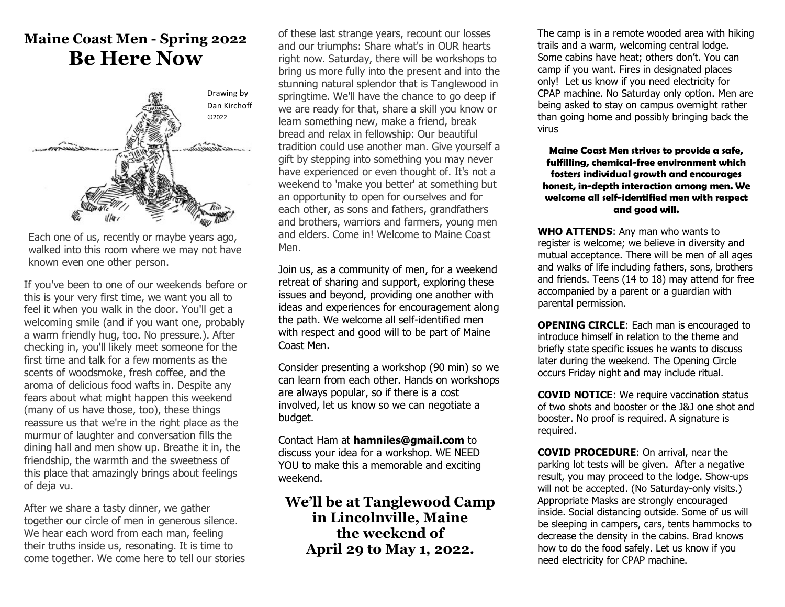# **Maine Coast Men - Spring 2022 Be Here Now**



Each one of us, recently or maybe years ago, walked into this room where we may not have known even one other person.

If you've been to one of our weekends before or this is your very first time, we want you all to feel it when you walk in the door. You'll get a welcoming smile (and if you want one, probably a warm friendly hug, too. No pressure.). After checking in, you'll likely meet someone for the first time and talk for a few moments as the scents of woodsmoke, fresh coffee, and the aroma of delicious food wafts in. Despite any fears about what might happen this weekend (many of us have those, too), these things reassure us that we're in the right place as the murmur of laughter and conversation fills the dining hall and men show up. Breathe it in, the friendship, the warmth and the sweetness of this place that amazingly brings about feelings of deja vu.

After we share a tasty dinner, we gather together our circle of men in generous silence. We hear each word from each man, feeling their truths inside us, resonating. It is time to come together. We come here to tell our stories of these last strange years, recount our losses and our triumphs: Share what's in OUR hearts right now. Saturday, there will be workshops to bring us more fully into the present and into the stunning natural splendor that is Tanglewood in springtime. We'll have the chance to go deep if we are ready for that, share a skill you know or learn something new, make a friend, break bread and relax in fellowship: Our beautiful tradition could use another man. Give yourself a gift by stepping into something you may never have experienced or even thought of. It's not a weekend to 'make you better' at something but an opportunity to open for ourselves and for each other, as sons and fathers, grandfathers and brothers, warriors and farmers, young men and elders. Come in! Welcome to Maine Coast Men.

Join us, as a community of men, for a weekend retreat of sharing and support, exploring these issues and beyond, providing one another with ideas and experiences for encouragement along the path. We welcome all self-identified men with respect and good will to be part of Maine Coast Men.

Consider presenting a workshop (90 min) so we can learn from each other. Hands on workshops are always popular, so if there is a cost involved, let us know so we can negotiate a budget.

Contact Ham at **hamniles@gmail.com** to discuss your idea for a workshop. WE NEED YOU to make this a memorable and exciting weekend.

## **We'll be at Tanglewood Camp in Lincolnville, Maine the weekend of April 29 to May 1, 2022.**

The camp is in a remote wooded area with hiking trails and a warm, welcoming central lodge. Some cabins have heat; others don't. You can camp if you want. Fires in designated places only! Let us know if you need electricity for CPAP machine. No Saturday only option. Men are being asked to stay on campus overnight rather than going home and possibly bringing back the virus

**Maine Coast Men strives to provide a safe, fulfilling, chemical-free environment which fosters individual growth and encourages honest, in-depth interaction among men. We welcome all self-identified men with respect and good will.**

**WHO ATTENDS**: Any man who wants to register is welcome; we believe in diversity and mutual acceptance. There will be men of all ages and walks of life including fathers, sons, brothers and friends. Teens (14 to 18) may attend for free accompanied by a parent or a guardian with parental permission.

**OPENING CIRCLE:** Each man is encouraged to introduce himself in relation to the theme and briefly state specific issues he wants to discuss later during the weekend. The Opening Circle occurs Friday night and may include ritual.

**COVID NOTICE:** We require vaccination status of two shots and booster or the J&J one shot and booster. No proof is required. A signature is required.

**COVID PROCEDURE**: On arrival, near the parking lot tests will be given. After a negative result, you may proceed to the lodge. Show-ups will not be accepted. (No Saturday-only visits.) Appropriate Masks are strongly encouraged inside. Social distancing outside. Some of us will be sleeping in campers, cars, tents hammocks to decrease the density in the cabins. Brad knows how to do the food safely. Let us know if you need electricity for CPAP machine.